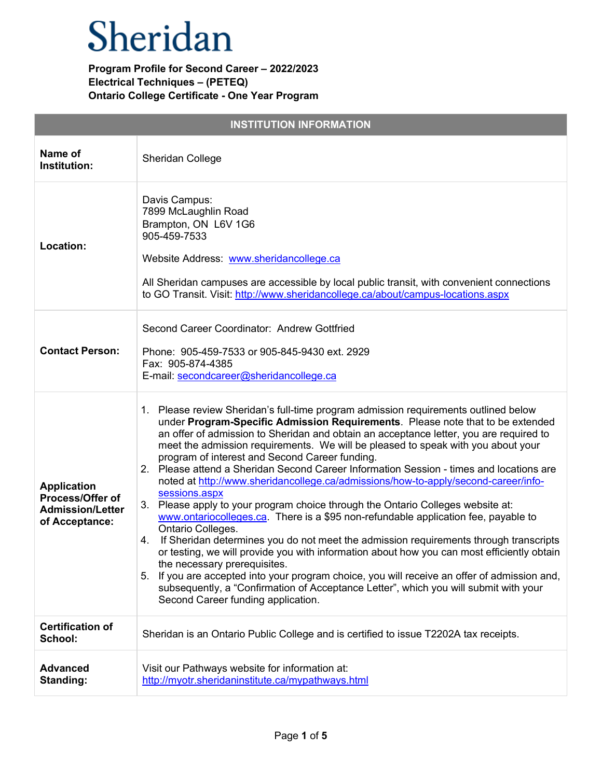| <b>INSTITUTION INFORMATION</b>                                                      |                                                                                                                                                                                                                                                                                                                                                                                                                                                                                                                                                                                                                                                                                                                                                                                                                                                                                                                                                                                                                                                                                                                                                                                                                                                               |  |
|-------------------------------------------------------------------------------------|---------------------------------------------------------------------------------------------------------------------------------------------------------------------------------------------------------------------------------------------------------------------------------------------------------------------------------------------------------------------------------------------------------------------------------------------------------------------------------------------------------------------------------------------------------------------------------------------------------------------------------------------------------------------------------------------------------------------------------------------------------------------------------------------------------------------------------------------------------------------------------------------------------------------------------------------------------------------------------------------------------------------------------------------------------------------------------------------------------------------------------------------------------------------------------------------------------------------------------------------------------------|--|
| Name of<br>Institution:                                                             | Sheridan College                                                                                                                                                                                                                                                                                                                                                                                                                                                                                                                                                                                                                                                                                                                                                                                                                                                                                                                                                                                                                                                                                                                                                                                                                                              |  |
| Location:                                                                           | Davis Campus:<br>7899 McLaughlin Road<br>Brampton, ON L6V 1G6<br>905-459-7533<br>Website Address: www.sheridancollege.ca<br>All Sheridan campuses are accessible by local public transit, with convenient connections<br>to GO Transit. Visit: http://www.sheridancollege.ca/about/campus-locations.aspx                                                                                                                                                                                                                                                                                                                                                                                                                                                                                                                                                                                                                                                                                                                                                                                                                                                                                                                                                      |  |
| <b>Contact Person:</b>                                                              | Second Career Coordinator: Andrew Gottfried<br>Phone: 905-459-7533 or 905-845-9430 ext. 2929<br>Fax: 905-874-4385<br>E-mail: secondcareer@sheridancollege.ca                                                                                                                                                                                                                                                                                                                                                                                                                                                                                                                                                                                                                                                                                                                                                                                                                                                                                                                                                                                                                                                                                                  |  |
| <b>Application</b><br>Process/Offer of<br><b>Admission/Letter</b><br>of Acceptance: | 1. Please review Sheridan's full-time program admission requirements outlined below<br>under Program-Specific Admission Requirements. Please note that to be extended<br>an offer of admission to Sheridan and obtain an acceptance letter, you are required to<br>meet the admission requirements. We will be pleased to speak with you about your<br>program of interest and Second Career funding.<br>2. Please attend a Sheridan Second Career Information Session - times and locations are<br>noted at http://www.sheridancollege.ca/admissions/how-to-apply/second-career/info-<br>sessions.aspx<br>3. Please apply to your program choice through the Ontario Colleges website at:<br>www.ontariocolleges.ca. There is a \$95 non-refundable application fee, payable to<br>Ontario Colleges.<br>4. If Sheridan determines you do not meet the admission requirements through transcripts<br>or testing, we will provide you with information about how you can most efficiently obtain<br>the necessary prerequisites.<br>5. If you are accepted into your program choice, you will receive an offer of admission and,<br>subsequently, a "Confirmation of Acceptance Letter", which you will submit with your<br>Second Career funding application. |  |
| <b>Certification of</b><br>School:                                                  | Sheridan is an Ontario Public College and is certified to issue T2202A tax receipts.                                                                                                                                                                                                                                                                                                                                                                                                                                                                                                                                                                                                                                                                                                                                                                                                                                                                                                                                                                                                                                                                                                                                                                          |  |
| <b>Advanced</b><br>Standing:                                                        | Visit our Pathways website for information at:<br>http://myotr.sheridaninstitute.ca/mypathways.html                                                                                                                                                                                                                                                                                                                                                                                                                                                                                                                                                                                                                                                                                                                                                                                                                                                                                                                                                                                                                                                                                                                                                           |  |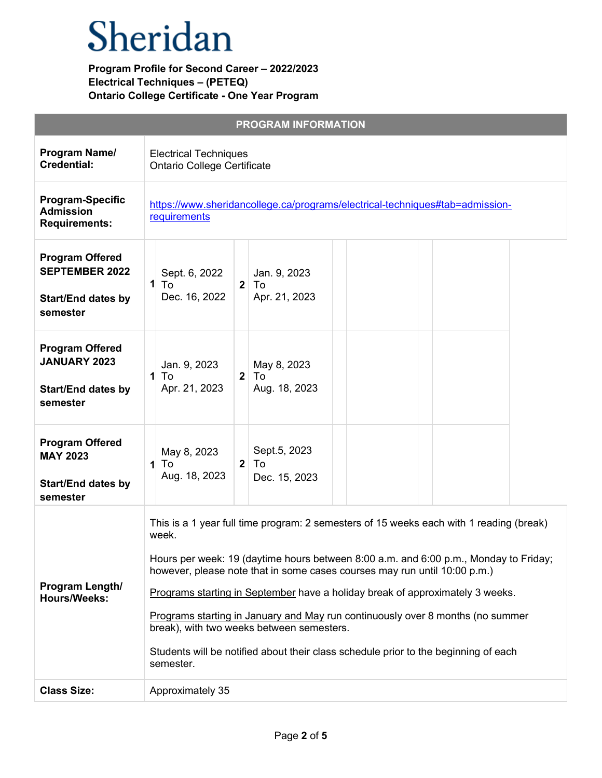|                                                                                          | <b>PROGRAM INFORMATION</b>                                                                                                                                                                                                                                                                                                                                                                                                                                                                                                                                                                |
|------------------------------------------------------------------------------------------|-------------------------------------------------------------------------------------------------------------------------------------------------------------------------------------------------------------------------------------------------------------------------------------------------------------------------------------------------------------------------------------------------------------------------------------------------------------------------------------------------------------------------------------------------------------------------------------------|
| Program Name/<br><b>Credential:</b>                                                      | <b>Electrical Techniques</b><br><b>Ontario College Certificate</b>                                                                                                                                                                                                                                                                                                                                                                                                                                                                                                                        |
| <b>Program-Specific</b><br><b>Admission</b><br><b>Requirements:</b>                      | https://www.sheridancollege.ca/programs/electrical-techniques#tab=admission-<br>requirements                                                                                                                                                                                                                                                                                                                                                                                                                                                                                              |
| <b>Program Offered</b><br><b>SEPTEMBER 2022</b><br><b>Start/End dates by</b><br>semester | Sept. 6, 2022<br>Jan. 9, 2023<br>$1$ To<br>2 <sup>1</sup><br>To<br>Apr. 21, 2023<br>Dec. 16, 2022                                                                                                                                                                                                                                                                                                                                                                                                                                                                                         |
| <b>Program Offered</b><br><b>JANUARY 2023</b><br><b>Start/End dates by</b><br>semester   | Jan. 9, 2023<br>May 8, 2023<br>2 <sup>1</sup><br>$\mathbf{1}$<br>To<br>To<br>Aug. 18, 2023<br>Apr. 21, 2023                                                                                                                                                                                                                                                                                                                                                                                                                                                                               |
| <b>Program Offered</b><br><b>MAY 2023</b><br><b>Start/End dates by</b><br>semester       | Sept.5, 2023<br>May 8, 2023<br>2 <sup>1</sup><br>$\mathbf{1}$<br>To<br>To<br>Aug. 18, 2023<br>Dec. 15, 2023                                                                                                                                                                                                                                                                                                                                                                                                                                                                               |
| Program Length/<br><b>Hours/Weeks:</b>                                                   | This is a 1 year full time program: 2 semesters of 15 weeks each with 1 reading (break)<br>week.<br>Hours per week: 19 (daytime hours between 8:00 a.m. and 6:00 p.m., Monday to Friday;<br>however, please note that in some cases courses may run until 10:00 p.m.)<br>Programs starting in September have a holiday break of approximately 3 weeks.<br>Programs starting in January and May run continuously over 8 months (no summer<br>break), with two weeks between semesters.<br>Students will be notified about their class schedule prior to the beginning of each<br>semester. |
| <b>Class Size:</b>                                                                       | Approximately 35                                                                                                                                                                                                                                                                                                                                                                                                                                                                                                                                                                          |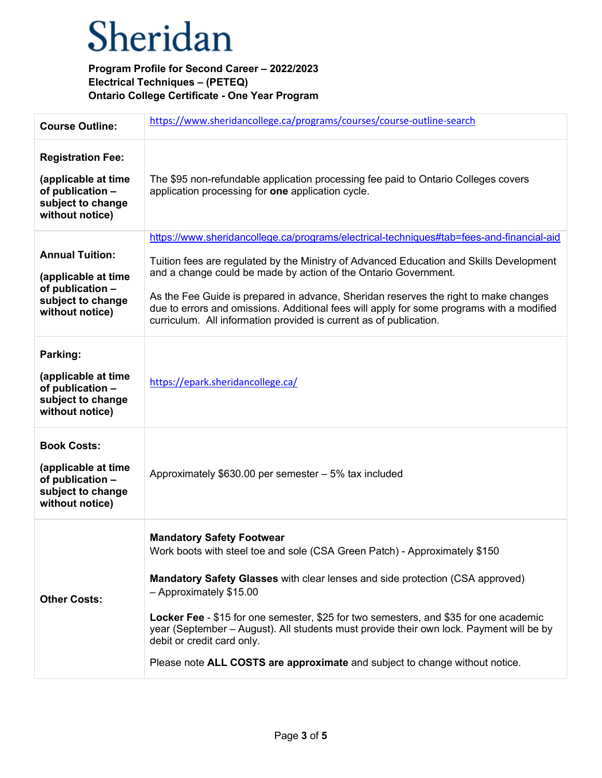| <b>Course Outline:</b>                                                                                      | https://www.sheridancollege.ca/programs/courses/course-outline-search                                                                                                                                                                                                                                                                                                                                                                                                                                                       |
|-------------------------------------------------------------------------------------------------------------|-----------------------------------------------------------------------------------------------------------------------------------------------------------------------------------------------------------------------------------------------------------------------------------------------------------------------------------------------------------------------------------------------------------------------------------------------------------------------------------------------------------------------------|
| <b>Registration Fee:</b><br>(applicable at time<br>of publication -<br>subject to change<br>without notice) | The \$95 non-refundable application processing fee paid to Ontario Colleges covers<br>application processing for one application cycle.                                                                                                                                                                                                                                                                                                                                                                                     |
| <b>Annual Tuition:</b><br>(applicable at time<br>of publication -<br>subject to change<br>without notice)   | https://www.sheridancollege.ca/programs/electrical-techniques#tab=fees-and-financial-aid<br>Tuition fees are regulated by the Ministry of Advanced Education and Skills Development<br>and a change could be made by action of the Ontario Government.<br>As the Fee Guide is prepared in advance, Sheridan reserves the right to make changes<br>due to errors and omissions. Additional fees will apply for some programs with a modified<br>curriculum. All information provided is current as of publication.           |
| Parking:<br>(applicable at time<br>of publication -<br>subject to change<br>without notice)                 | https://epark.sheridancollege.ca/                                                                                                                                                                                                                                                                                                                                                                                                                                                                                           |
| <b>Book Costs:</b><br>(applicable at time<br>of publication -<br>subject to change<br>without notice)       | Approximately \$630.00 per semester - 5% tax included                                                                                                                                                                                                                                                                                                                                                                                                                                                                       |
| <b>Other Costs:</b>                                                                                         | <b>Mandatory Safety Footwear</b><br>Work boots with steel toe and sole (CSA Green Patch) - Approximately \$150<br>Mandatory Safety Glasses with clear lenses and side protection (CSA approved)<br>- Approximately \$15.00<br>Locker Fee - \$15 for one semester, \$25 for two semesters, and \$35 for one academic<br>year (September – August). All students must provide their own lock. Payment will be by<br>debit or credit card only.<br>Please note ALL COSTS are approximate and subject to change without notice. |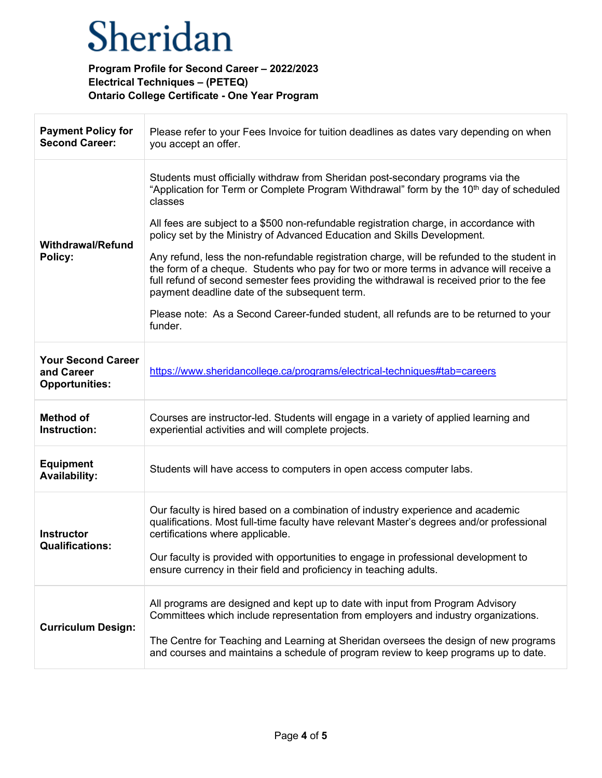| <b>Payment Policy for</b><br><b>Second Career:</b>               | Please refer to your Fees Invoice for tuition deadlines as dates vary depending on when<br>you accept an offer.                                                                                                                                                                                                                                                                                                                                                                                                                                                                                                                                                                                                                                                                                                     |
|------------------------------------------------------------------|---------------------------------------------------------------------------------------------------------------------------------------------------------------------------------------------------------------------------------------------------------------------------------------------------------------------------------------------------------------------------------------------------------------------------------------------------------------------------------------------------------------------------------------------------------------------------------------------------------------------------------------------------------------------------------------------------------------------------------------------------------------------------------------------------------------------|
| <b>Withdrawal/Refund</b><br>Policy:                              | Students must officially withdraw from Sheridan post-secondary programs via the<br>"Application for Term or Complete Program Withdrawal" form by the 10 <sup>th</sup> day of scheduled<br>classes<br>All fees are subject to a \$500 non-refundable registration charge, in accordance with<br>policy set by the Ministry of Advanced Education and Skills Development.<br>Any refund, less the non-refundable registration charge, will be refunded to the student in<br>the form of a cheque. Students who pay for two or more terms in advance will receive a<br>full refund of second semester fees providing the withdrawal is received prior to the fee<br>payment deadline date of the subsequent term.<br>Please note: As a Second Career-funded student, all refunds are to be returned to your<br>funder. |
| <b>Your Second Career</b><br>and Career<br><b>Opportunities:</b> | https://www.sheridancollege.ca/programs/electrical-techniques#tab=careers                                                                                                                                                                                                                                                                                                                                                                                                                                                                                                                                                                                                                                                                                                                                           |
| <b>Method of</b><br>Instruction:                                 | Courses are instructor-led. Students will engage in a variety of applied learning and<br>experiential activities and will complete projects.                                                                                                                                                                                                                                                                                                                                                                                                                                                                                                                                                                                                                                                                        |
| <b>Equipment</b><br><b>Availability:</b>                         | Students will have access to computers in open access computer labs.                                                                                                                                                                                                                                                                                                                                                                                                                                                                                                                                                                                                                                                                                                                                                |
| <b>Instructor</b><br><b>Qualifications:</b>                      | Our faculty is hired based on a combination of industry experience and academic<br>qualifications. Most full-time faculty have relevant Master's degrees and/or professional<br>certifications where applicable.<br>Our faculty is provided with opportunities to engage in professional development to<br>ensure currency in their field and proficiency in teaching adults.                                                                                                                                                                                                                                                                                                                                                                                                                                       |
| <b>Curriculum Design:</b>                                        | All programs are designed and kept up to date with input from Program Advisory<br>Committees which include representation from employers and industry organizations.<br>The Centre for Teaching and Learning at Sheridan oversees the design of new programs<br>and courses and maintains a schedule of program review to keep programs up to date.                                                                                                                                                                                                                                                                                                                                                                                                                                                                 |